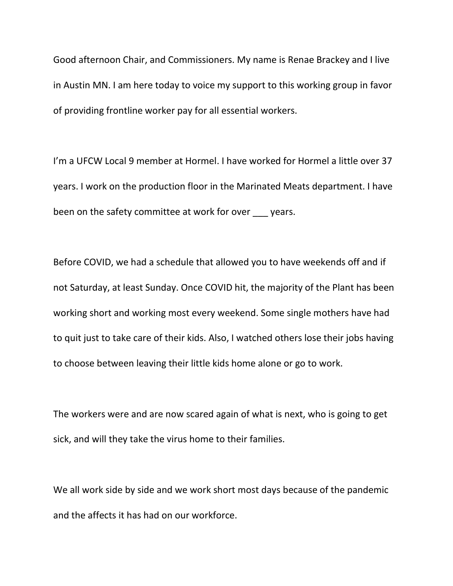Good afternoon Chair, and Commissioners. My name is Renae Brackey and I live in Austin MN. I am here today to voice my support to this working group in favor of providing frontline worker pay for all essential workers.

I'm a UFCW Local 9 member at Hormel. I have worked for Hormel a little over 37 years. I work on the production floor in the Marinated Meats department. I have been on the safety committee at work for over years.

Before COVID, we had a schedule that allowed you to have weekends off and if not Saturday, at least Sunday. Once COVID hit, the majority of the Plant has been working short and working most every weekend. Some single mothers have had to quit just to take care of their kids. Also, I watched others lose their jobs having to choose between leaving their little kids home alone or go to work.

The workers were and are now scared again of what is next, who is going to get sick, and will they take the virus home to their families.

We all work side by side and we work short most days because of the pandemic and the affects it has had on our workforce.